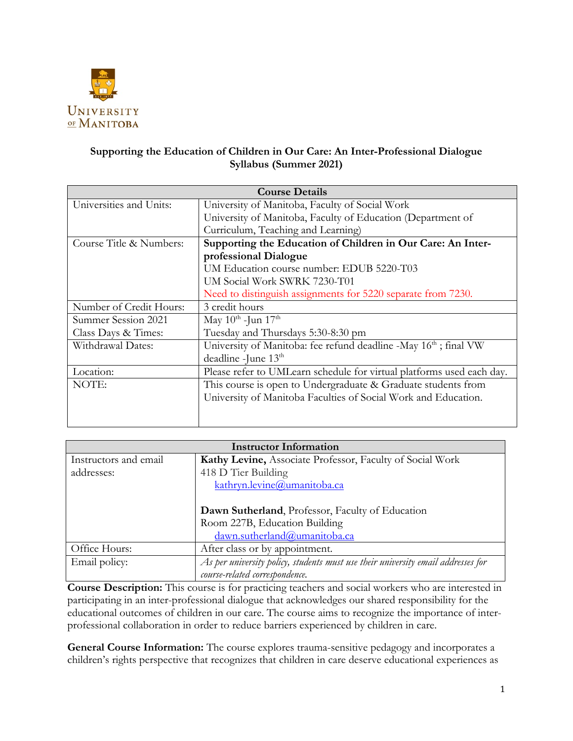

## **Supporting the Education of Children in Our Care: An Inter-Professional Dialogue Syllabus (Summer 2021)**

| <b>Course Details</b>   |                                                                              |  |  |  |
|-------------------------|------------------------------------------------------------------------------|--|--|--|
| Universities and Units: | University of Manitoba, Faculty of Social Work                               |  |  |  |
|                         | University of Manitoba, Faculty of Education (Department of                  |  |  |  |
|                         | Curriculum, Teaching and Learning)                                           |  |  |  |
| Course Title & Numbers: | Supporting the Education of Children in Our Care: An Inter-                  |  |  |  |
|                         | professional Dialogue                                                        |  |  |  |
|                         | UM Education course number: EDUB 5220-T03                                    |  |  |  |
|                         | UM Social Work SWRK 7230-T01                                                 |  |  |  |
|                         | Need to distinguish assignments for 5220 separate from 7230.                 |  |  |  |
| Number of Credit Hours: | 3 credit hours                                                               |  |  |  |
| Summer Session 2021     | May $10^{\text{th}}$ -Jun $17^{\text{th}}$                                   |  |  |  |
| Class Days & Times:     | Tuesday and Thursdays 5:30-8:30 pm                                           |  |  |  |
| Withdrawal Dates:       | University of Manitoba: fee refund deadline -May 16 <sup>th</sup> ; final VW |  |  |  |
|                         | deadline -June 13th                                                          |  |  |  |
| Location:               | Please refer to UMLearn schedule for virtual platforms used each day.        |  |  |  |
| NOTE:                   | This course is open to Undergraduate & Graduate students from                |  |  |  |
|                         | University of Manitoba Faculties of Social Work and Education.               |  |  |  |
|                         |                                                                              |  |  |  |
|                         |                                                                              |  |  |  |

| <b>Instructor Information</b> |                                                                                  |  |  |
|-------------------------------|----------------------------------------------------------------------------------|--|--|
| Instructors and email         | Kathy Levine, Associate Professor, Faculty of Social Work                        |  |  |
| addresses:                    | 418 D Tier Building                                                              |  |  |
|                               | kathryn.levine@umanitoba.ca                                                      |  |  |
|                               |                                                                                  |  |  |
|                               | Dawn Sutherland, Professor, Faculty of Education                                 |  |  |
|                               | Room 227B, Education Building                                                    |  |  |
|                               | dawn.sutherland@umanitoba.ca                                                     |  |  |
| Office Hours:                 | After class or by appointment.                                                   |  |  |
| Email policy:                 | As per university policy, students must use their university email addresses for |  |  |
|                               | course-related correspondence.                                                   |  |  |

**Course Description:** This course is for practicing teachers and social workers who are interested in participating in an inter-professional dialogue that acknowledges our shared responsibility for the educational outcomes of children in our care. The course aims to recognize the importance of interprofessional collaboration in order to reduce barriers experienced by children in care.

**General Course Information:** The course explores trauma-sensitive pedagogy and incorporates a children's rights perspective that recognizes that children in care deserve educational experiences as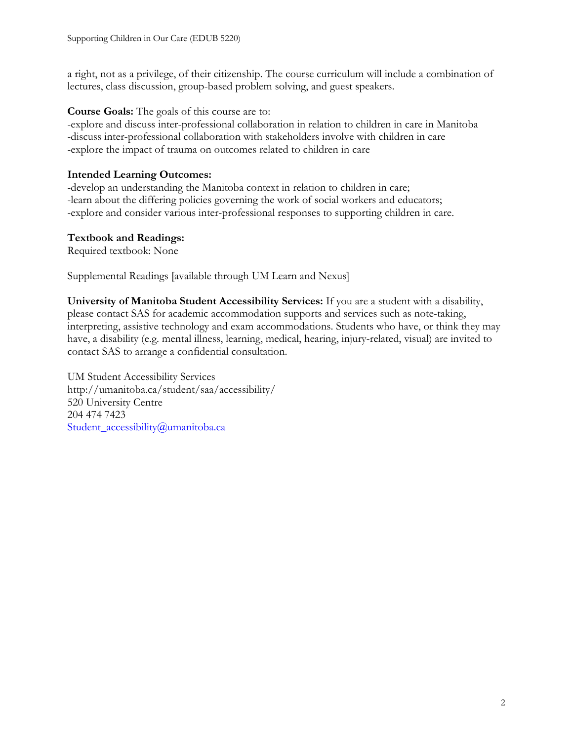a right, not as a privilege, of their citizenship. The course curriculum will include a combination of lectures, class discussion, group-based problem solving, and guest speakers.

**Course Goals:** The goals of this course are to:

-explore and discuss inter-professional collaboration in relation to children in care in Manitoba -discuss inter-professional collaboration with stakeholders involve with children in care -explore the impact of trauma on outcomes related to children in care

### **Intended Learning Outcomes:**

-develop an understanding the Manitoba context in relation to children in care; -learn about the differing policies governing the work of social workers and educators; -explore and consider various inter-professional responses to supporting children in care.

### **Textbook and Readings:**

Required textbook: None

Supplemental Readings [available through UM Learn and Nexus]

**University of Manitoba Student Accessibility Services:** If you are a student with a disability, please contact SAS for academic accommodation supports and services such as note-taking, interpreting, assistive technology and exam accommodations. Students who have, or think they may have, a disability (e.g. mental illness, learning, medical, hearing, injury-related, visual) are invited to contact SAS to arrange a confidential consultation.

UM Student Accessibility Services http://umanitoba.ca/student/saa/accessibility/ 520 University Centre 204 474 7423 Student\_accessibility@umanitoba.ca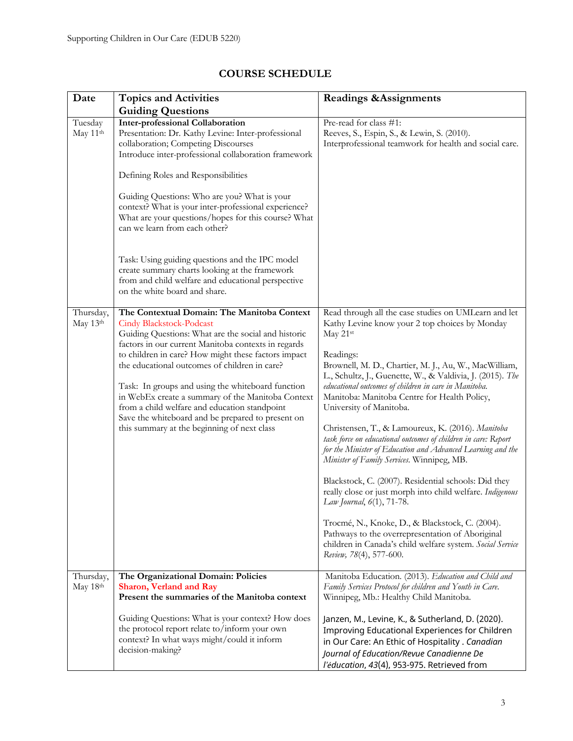| Date                  | <b>Topics and Activities</b>                                                                                                                                                                                                                                                                                                                                                                                                                                                                                                                                        | <b>Readings &amp; Assignments</b>                                                                                                                                                                                                                                                                                                                                                                                                                                                                                                                                                                                                                                                                                                                                                                                                                                                                                                                                              |
|-----------------------|---------------------------------------------------------------------------------------------------------------------------------------------------------------------------------------------------------------------------------------------------------------------------------------------------------------------------------------------------------------------------------------------------------------------------------------------------------------------------------------------------------------------------------------------------------------------|--------------------------------------------------------------------------------------------------------------------------------------------------------------------------------------------------------------------------------------------------------------------------------------------------------------------------------------------------------------------------------------------------------------------------------------------------------------------------------------------------------------------------------------------------------------------------------------------------------------------------------------------------------------------------------------------------------------------------------------------------------------------------------------------------------------------------------------------------------------------------------------------------------------------------------------------------------------------------------|
|                       | <b>Guiding Questions</b>                                                                                                                                                                                                                                                                                                                                                                                                                                                                                                                                            |                                                                                                                                                                                                                                                                                                                                                                                                                                                                                                                                                                                                                                                                                                                                                                                                                                                                                                                                                                                |
| Tuesday<br>May 11th   | <b>Inter-professional Collaboration</b><br>Presentation: Dr. Kathy Levine: Inter-professional<br>collaboration; Competing Discourses<br>Introduce inter-professional collaboration framework<br>Defining Roles and Responsibilities<br>Guiding Questions: Who are you? What is your<br>context? What is your inter-professional experience?<br>What are your questions/hopes for this course? What                                                                                                                                                                  | Pre-read for class #1:<br>Reeves, S., Espin, S., & Lewin, S. (2010).<br>Interprofessional teamwork for health and social care.                                                                                                                                                                                                                                                                                                                                                                                                                                                                                                                                                                                                                                                                                                                                                                                                                                                 |
|                       | can we learn from each other?<br>Task: Using guiding questions and the IPC model<br>create summary charts looking at the framework<br>from and child welfare and educational perspective<br>on the white board and share.                                                                                                                                                                                                                                                                                                                                           |                                                                                                                                                                                                                                                                                                                                                                                                                                                                                                                                                                                                                                                                                                                                                                                                                                                                                                                                                                                |
| Thursday,<br>May 13th | The Contextual Domain: The Manitoba Context<br><b>Cindy Blackstock-Podcast</b><br>Guiding Questions: What are the social and historic<br>factors in our current Manitoba contexts in regards<br>to children in care? How might these factors impact<br>the educational outcomes of children in care?<br>Task: In groups and using the whiteboard function<br>in WebEx create a summary of the Manitoba Context<br>from a child welfare and education standpoint<br>Save the whiteboard and be prepared to present on<br>this summary at the beginning of next class | Read through all the case studies on UMLearn and let<br>Kathy Levine know your 2 top choices by Monday<br>May 21st<br>Readings:<br>Brownell, M. D., Chartier, M. J., Au, W., MacWilliam,<br>L., Schultz, J., Guenette, W., & Valdivia, J. (2015). The<br>educational outcomes of children in care in Manitoba.<br>Manitoba: Manitoba Centre for Health Policy,<br>University of Manitoba.<br>Christensen, T., & Lamoureux, K. (2016). Manitoba<br>task force on educational outcomes of children in care: Report<br>for the Minister of Education and Advanced Learning and the<br>Minister of Family Services. Winnipeg, MB.<br>Blackstock, C. (2007). Residential schools: Did they<br>really close or just morph into child welfare. Indigenous<br>Law Journal, 6(1), 71-78.<br>Trocmé, N., Knoke, D., & Blackstock, C. (2004).<br>Pathways to the overrepresentation of Aboriginal<br>children in Canada's child welfare system. Social Service<br>Review, 78(4), 577-600. |
| Thursday,<br>May 18th | The Organizational Domain: Policies<br><b>Sharon, Verland and Ray</b><br>Present the summaries of the Manitoba context                                                                                                                                                                                                                                                                                                                                                                                                                                              | Manitoba Education. (2013). Education and Child and<br>Family Services Protocol for children and Youth in Care.<br>Winnipeg, Mb.: Healthy Child Manitoba.                                                                                                                                                                                                                                                                                                                                                                                                                                                                                                                                                                                                                                                                                                                                                                                                                      |
|                       | Guiding Questions: What is your context? How does<br>the protocol report relate to/inform your own<br>context? In what ways might/could it inform<br>decision-making?                                                                                                                                                                                                                                                                                                                                                                                               | Janzen, M., Levine, K., & Sutherland, D. (2020).<br>Improving Educational Experiences for Children<br>in Our Care: An Ethic of Hospitality . Canadian<br>Journal of Education/Revue Canadienne De<br>l'éducation, 43(4), 953-975. Retrieved from                                                                                                                                                                                                                                                                                                                                                                                                                                                                                                                                                                                                                                                                                                                               |

# **COURSE SCHEDULE**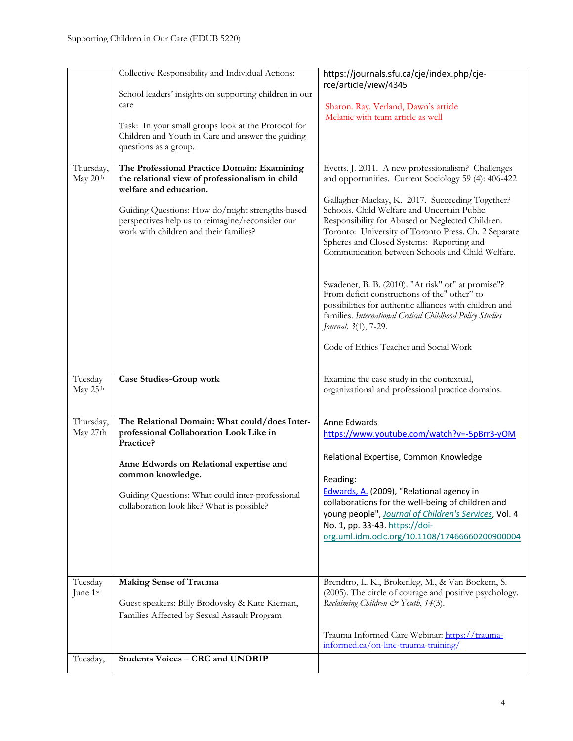|                                 | Collective Responsibility and Individual Actions:<br>School leaders' insights on supporting children in our<br>care<br>Task: In your small groups look at the Protocol for<br>Children and Youth in Care and answer the guiding<br>questions as a group.                  | https://journals.sfu.ca/cje/index.php/cje-<br>rce/article/view/4345<br>Sharon. Ray. Verland, Dawn's article<br>Melanie with team article as well                                                                                                                                                                                                                                                                                                                                                                                                                                                                                                                                                                          |
|---------------------------------|---------------------------------------------------------------------------------------------------------------------------------------------------------------------------------------------------------------------------------------------------------------------------|---------------------------------------------------------------------------------------------------------------------------------------------------------------------------------------------------------------------------------------------------------------------------------------------------------------------------------------------------------------------------------------------------------------------------------------------------------------------------------------------------------------------------------------------------------------------------------------------------------------------------------------------------------------------------------------------------------------------------|
| Thursday,<br>May 20th           | The Professional Practice Domain: Examining<br>the relational view of professionalism in child<br>welfare and education.<br>Guiding Questions: How do/might strengths-based<br>perspectives help us to reimagine/reconsider our<br>work with children and their families? | Evetts, J. 2011. A new professionalism? Challenges<br>and opportunities. Current Sociology 59 (4): 406-422<br>Gallagher-Mackay, K. 2017. Succeeding Together?<br>Schools, Child Welfare and Uncertain Public<br>Responsibility for Abused or Neglected Children.<br>Toronto: University of Toronto Press. Ch. 2 Separate<br>Spheres and Closed Systems: Reporting and<br>Communication between Schools and Child Welfare.<br>Swadener, B. B. (2010). "At risk" or" at promise"?<br>From deficit constructions of the" other" to<br>possibilities for authentic alliances with children and<br>families. International Critical Childhood Policy Studies<br>Journal, 3(1), 7-29.<br>Code of Ethics Teacher and Social Work |
| Tuesday                         | <b>Case Studies-Group work</b>                                                                                                                                                                                                                                            | Examine the case study in the contextual,                                                                                                                                                                                                                                                                                                                                                                                                                                                                                                                                                                                                                                                                                 |
| May 25th                        |                                                                                                                                                                                                                                                                           | organizational and professional practice domains.                                                                                                                                                                                                                                                                                                                                                                                                                                                                                                                                                                                                                                                                         |
| Thursday,<br>May 27th           | The Relational Domain: What could/does Inter-<br>professional Collaboration Look Like in<br>Practice?<br>Anne Edwards on Relational expertise and<br>common knowledge.<br>Guiding Questions: What could inter-professional<br>collaboration look like? What is possible?  | Anne Edwards<br>https://www.youtube.com/watch?v=-5pBrr3-yOM<br>Relational Expertise, Common Knowledge<br>Reading:<br>Edwards, A. (2009), "Relational agency in<br>collaborations for the well-being of children and<br>young people", Journal of Children's Services, Vol. 4<br>No. 1, pp. 33-43. https://doi-<br>org.uml.idm.oclc.org/10.1108/17466660200900004                                                                                                                                                                                                                                                                                                                                                          |
| Tuesday<br>June 1st<br>Tuesday, | <b>Making Sense of Trauma</b><br>Guest speakers: Billy Brodovsky & Kate Kiernan,<br>Families Affected by Sexual Assault Program<br><b>Students Voices - CRC</b> and UNDRIP                                                                                                | Brendtro, L. K., Brokenleg, M., & Van Bockern, S.<br>(2005). The circle of courage and positive psychology.<br>Reclaiming Children & Youth, 14(3).<br>Trauma Informed Care Webinar: https://trauma-<br>informed.ca/on-line-trauma-training/                                                                                                                                                                                                                                                                                                                                                                                                                                                                               |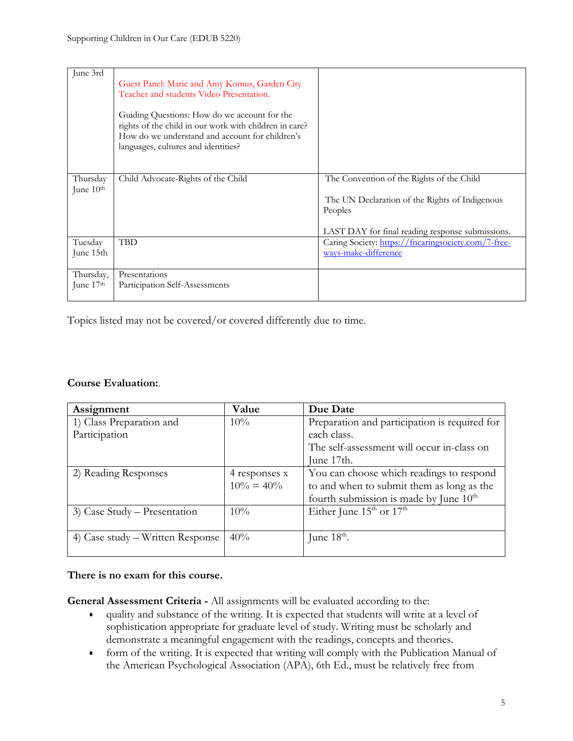| June 3rd                          | Guest Panel: Marie and Amy Komus, Garden City<br>Teacher and students Video Presentation.<br>Guiding Questions: How do we account for the<br>rights of the child in our work with children in care?<br>How do we understand and account for children's<br>languages, cultures and identities? |                                                                                                                                                            |
|-----------------------------------|-----------------------------------------------------------------------------------------------------------------------------------------------------------------------------------------------------------------------------------------------------------------------------------------------|------------------------------------------------------------------------------------------------------------------------------------------------------------|
| Thursday<br>June 10 <sup>th</sup> | Child Advocate-Rights of the Child                                                                                                                                                                                                                                                            | The Convention of the Rights of the Child<br>The UN Declaration of the Rights of Indigenous<br>Peoples<br>LAST DAY for final reading response submissions. |
| Tuesday<br>June 15th              | <b>TBD</b>                                                                                                                                                                                                                                                                                    | Caring Society: https://fncaringsociety.com/7-free-<br>ways-make-difference                                                                                |
| Thursday,<br>June $17th$          | Presentations<br>Participation Self-Assessments                                                                                                                                                                                                                                               |                                                                                                                                                            |

Topics listed may not be covered/or covered differently due to time.

#### **Course Evaluation:**.

| Assignment                       | Value         | Due Date                                            |
|----------------------------------|---------------|-----------------------------------------------------|
| 1) Class Preparation and         | 10%           | Preparation and participation is required for       |
| Participation                    |               | each class.                                         |
|                                  |               | The self-assessment will occur in-class on          |
|                                  |               | June 17th.                                          |
| 2) Reading Responses             | 4 responses x | You can choose which readings to respond            |
|                                  | $10\% = 40\%$ | to and when to submit them as long as the           |
|                                  |               | fourth submission is made by June 10 <sup>th.</sup> |
| 3) Case Study – Presentation     | 10%           | Either June $15^{\text{th}}$ or $17^{\text{th}}$    |
|                                  |               |                                                     |
| 4) Case study – Written Response | 40%           | June $18^{\text{th}}$ .                             |
|                                  |               |                                                     |

#### **There is no exam for this course.**

**General Assessment Criteria -** All assignments will be evaluated according to the:

- quality and substance of the writing. It is expected that students will write at a level of sophistication appropriate for graduate level of study. Writing must be scholarly and demonstrate a meaningful engagement with the readings, concepts and theories.
- form of the writing. It is expected that writing will comply with the Publication Manual of the American Psychological Association (APA), 6th Ed., must be relatively free from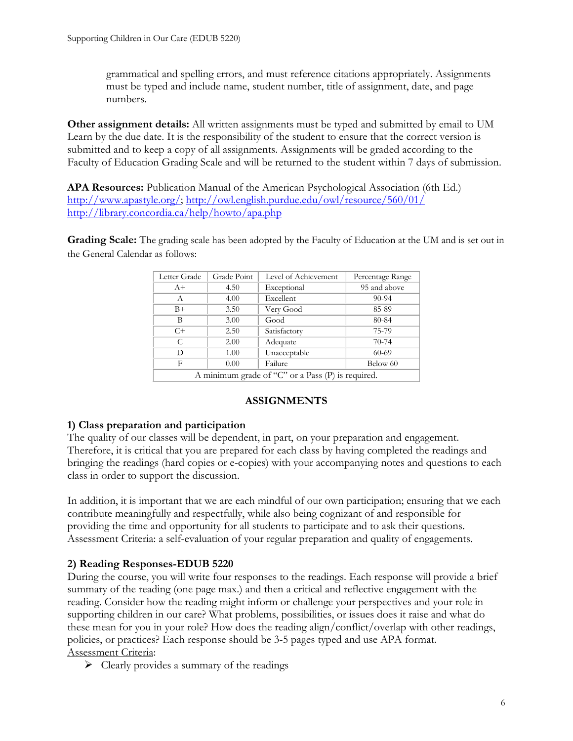grammatical and spelling errors, and must reference citations appropriately. Assignments must be typed and include name, student number, title of assignment, date, and page numbers.

**Other assignment details:** All written assignments must be typed and submitted by email to UM Learn by the due date. It is the responsibility of the student to ensure that the correct version is submitted and to keep a copy of all assignments. Assignments will be graded according to the Faculty of Education Grading Scale and will be returned to the student within 7 days of submission.

**APA Resources:** Publication Manual of the American Psychological Association (6th Ed.) http://www.apastyle.org/; http://owl.english.purdue.edu/owl/resource/560/01/ http://library.concordia.ca/help/howto/apa.php

**Grading Scale:** The grading scale has been adopted by the Faculty of Education at the UM and is set out in the General Calendar as follows:

| Letter Grade                                      | Grade Point | Level of Achievement | Percentage Range |
|---------------------------------------------------|-------------|----------------------|------------------|
| $A+$                                              | 4.50        | Exceptional          | 95 and above     |
| А                                                 | 4.00        | Excellent            | $90 - 94$        |
| $B+$                                              | 3.50        | Very Good            | 85-89            |
| В                                                 | 3.00        | Good                 | 80-84            |
| $C+$                                              | 2.50        | Satisfactory         | 75-79            |
| C                                                 | 2.00        | Adequate             | $70 - 74$        |
| D                                                 | 1.00        | Unacceptable         | 60-69            |
| F                                                 | 0.00        | Failure              | Below 60         |
| A minimum grade of "C" or a Pass (P) is required. |             |                      |                  |

### **ASSIGNMENTS**

#### **1) Class preparation and participation**

The quality of our classes will be dependent, in part, on your preparation and engagement. Therefore, it is critical that you are prepared for each class by having completed the readings and bringing the readings (hard copies or e-copies) with your accompanying notes and questions to each class in order to support the discussion.

In addition, it is important that we are each mindful of our own participation; ensuring that we each contribute meaningfully and respectfully, while also being cognizant of and responsible for providing the time and opportunity for all students to participate and to ask their questions. Assessment Criteria: a self-evaluation of your regular preparation and quality of engagements.

### **2) Reading Responses-EDUB 5220**

During the course, you will write four responses to the readings. Each response will provide a brief summary of the reading (one page max.) and then a critical and reflective engagement with the reading. Consider how the reading might inform or challenge your perspectives and your role in supporting children in our care? What problems, possibilities, or issues does it raise and what do these mean for you in your role? How does the reading align/conflict/overlap with other readings, policies, or practices? Each response should be 3-5 pages typed and use APA format. Assessment Criteria:

 $\triangleright$  Clearly provides a summary of the readings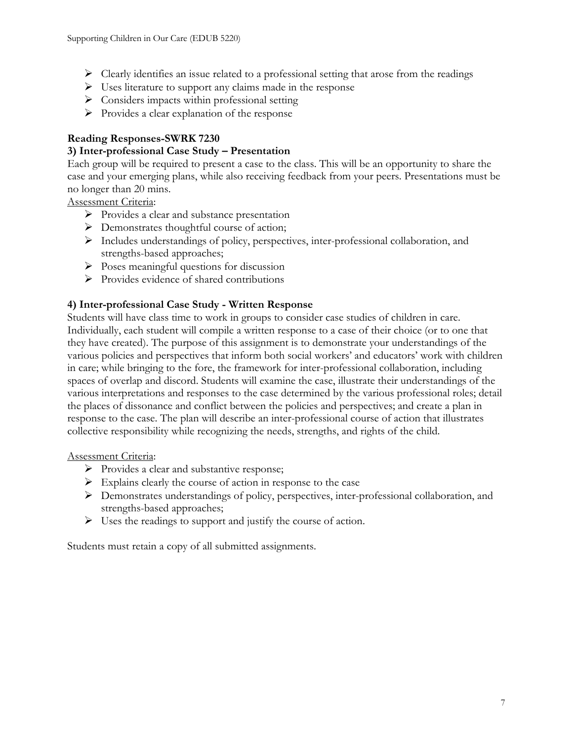- $\triangleright$  Clearly identifies an issue related to a professional setting that arose from the readings
- $\triangleright$  Uses literature to support any claims made in the response
- $\triangleright$  Considers impacts within professional setting
- $\triangleright$  Provides a clear explanation of the response

### **Reading Responses-SWRK 7230**

#### **3) Inter-professional Case Study – Presentation**

Each group will be required to present a case to the class. This will be an opportunity to share the case and your emerging plans, while also receiving feedback from your peers. Presentations must be no longer than 20 mins.

Assessment Criteria:

- Ø Provides a clear and substance presentation
- $\triangleright$  Demonstrates thoughtful course of action;
- Ø Includes understandings of policy, perspectives, inter-professional collaboration, and strengths-based approaches;
- $\triangleright$  Poses meaningful questions for discussion
- $\triangleright$  Provides evidence of shared contributions

#### **4) Inter-professional Case Study - Written Response**

Students will have class time to work in groups to consider case studies of children in care. Individually, each student will compile a written response to a case of their choice (or to one that they have created). The purpose of this assignment is to demonstrate your understandings of the various policies and perspectives that inform both social workers' and educators' work with children in care; while bringing to the fore, the framework for inter-professional collaboration, including spaces of overlap and discord. Students will examine the case, illustrate their understandings of the various interpretations and responses to the case determined by the various professional roles; detail the places of dissonance and conflict between the policies and perspectives; and create a plan in response to the case. The plan will describe an inter-professional course of action that illustrates collective responsibility while recognizing the needs, strengths, and rights of the child.

#### Assessment Criteria:

- $\triangleright$  Provides a clear and substantive response;
- $\triangleright$  Explains clearly the course of action in response to the case
- $\triangleright$  Demonstrates understandings of policy, perspectives, inter-professional collaboration, and strengths-based approaches;
- $\triangleright$  Uses the readings to support and justify the course of action.

Students must retain a copy of all submitted assignments.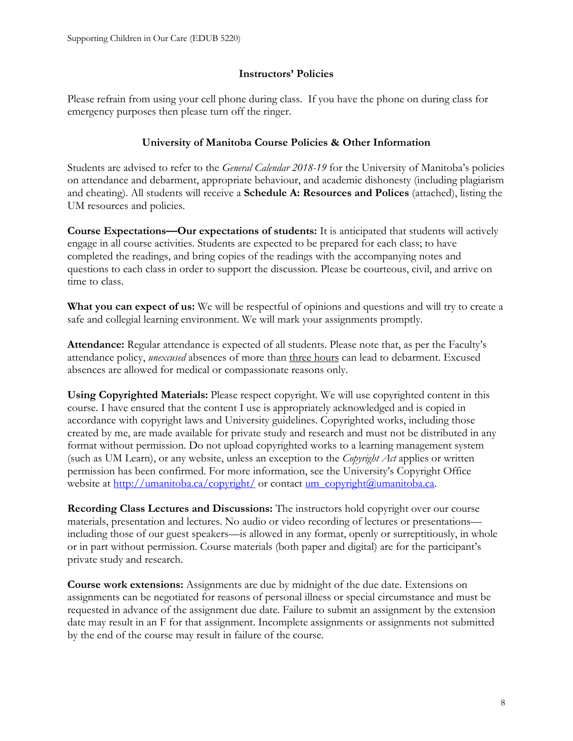#### **Instructors' Policies**

Please refrain from using your cell phone during class. If you have the phone on during class for emergency purposes then please turn off the ringer.

### **University of Manitoba Course Policies & Other Information**

Students are advised to refer to the *General Calendar 2018-19* for the University of Manitoba's policies on attendance and debarment, appropriate behaviour, and academic dishonesty (including plagiarism and cheating). All students will receive a **Schedule A: Resources and Polices** (attached), listing the UM resources and policies.

**Course Expectations—Our expectations of students:** It is anticipated that students will actively engage in all course activities. Students are expected to be prepared for each class; to have completed the readings, and bring copies of the readings with the accompanying notes and questions to each class in order to support the discussion. Please be courteous, civil, and arrive on time to class.

**What you can expect of us:** We will be respectful of opinions and questions and will try to create a safe and collegial learning environment. We will mark your assignments promptly.

**Attendance:** Regular attendance is expected of all students. Please note that, as per the Faculty's attendance policy, *unexcused* absences of more than three hours can lead to debarment. Excused absences are allowed for medical or compassionate reasons only.

**Using Copyrighted Materials:** Please respect copyright. We will use copyrighted content in this course. I have ensured that the content I use is appropriately acknowledged and is copied in accordance with copyright laws and University guidelines. Copyrighted works, including those created by me, are made available for private study and research and must not be distributed in any format without permission. Do not upload copyrighted works to a learning management system (such as UM Learn), or any website, unless an exception to the *Copyright Act* applies or written permission has been confirmed. For more information, see the University's Copyright Office website at http://umanitoba.ca/copyright/ or contact um\_copyright@umanitoba.ca.

**Recording Class Lectures and Discussions:** The instructors hold copyright over our course materials, presentation and lectures. No audio or video recording of lectures or presentations including those of our guest speakers—is allowed in any format, openly or surreptitiously, in whole or in part without permission. Course materials (both paper and digital) are for the participant's private study and research.

**Course work extensions:** Assignments are due by midnight of the due date. Extensions on assignments can be negotiated for reasons of personal illness or special circumstance and must be requested in advance of the assignment due date. Failure to submit an assignment by the extension date may result in an F for that assignment. Incomplete assignments or assignments not submitted by the end of the course may result in failure of the course.